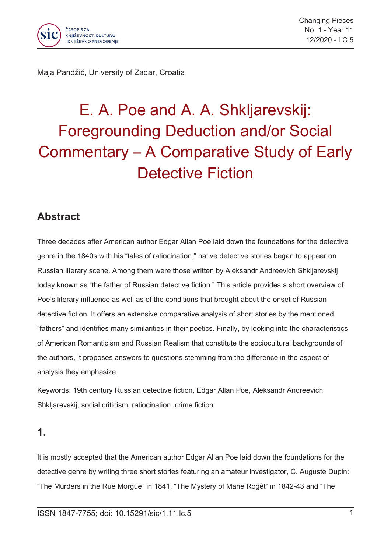

Maja Pandžić, University of Zadar, Croatia

# E. A. Poe and A. A. Shkljarevskij: Foregrounding Deduction and/or Social Commentary – A Comparative Study of Early Detective Fiction

## **Abstract**

Three decades after American author Edgar Allan Poe laid down the foundations for the detective genre in the 1840s with his "tales of ratiocination," native detective stories began to appear on Russian literary scene. Among them were those written by Aleksandr Andreevich Shkljarevskij today known as "the father of Russian detective fiction." This article provides <sup>a</sup> short overview of Poe's literary influence as well as of the conditions that brought about the onset of Russian detective fiction. It offers an extensive comparative analysis of short stories by the mentioned "fathers" and identifies many similarities in their poetics. Finally, by looking into the characteristics of American Romanticism and Russian Realism that constitute the sociocultural backgrounds of the authors, it proposes answers to questions stemming from the difference in the aspect of analysis they emphasize.

Keywords: 19th century Russian detective fiction, Edgar Allan Poe, Aleksandr Andreevich Shkljarevskij, social criticism, ratiocination, crime fiction

## **1.**

It is mostly accepted that the American author Edgar Allan Poe laid down the foundations for the detective genre by writing three short stories featuring an amateur investigator, C. Auguste Dupin: "The Murders in the Rue Morgue" in 1841, "The Mystery of Marie Rogêt" in 1842-43 and "The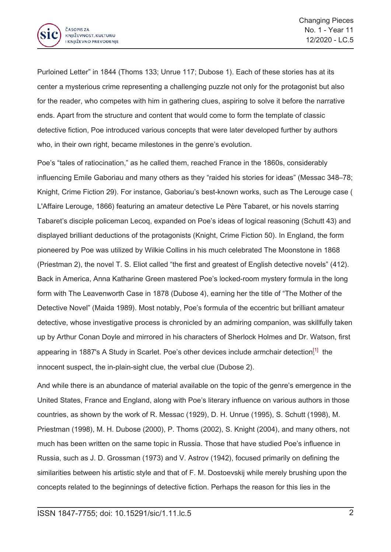

Purloined Letter" in 1844 (Thoms 133; Unrue 117; Dubose 1). Each of these stories has at its center <sup>a</sup> mysterious crime representing <sup>a</sup> challenging puzzle not only for the protagonist but also for the reader, who competes with him in gathering clues, aspiring to solve it before the narrative ends. Apart from the structure and content that would come to form the template of classic detective fiction, Poe introduced various concepts that were later developed further by authors who, in their own right, became milestones in the genre's evolution.

Poe's "tales of ratiocination," as he called them, reached France in the 1860s, considerably influencing Emile Gaboriau and many others as they "raided his stories for ideas" (Messac 348–78; Knight, Crime Fiction 29). For instance, Gaboriau's best-known works, such as The Lerouge case ( L'Affaire Lerouge, 1866) featuring an amateur detective Le Père Tabaret, or his novels starring Tabaret's disciple policeman Lecoq, expanded on Poe's ideas of logical reasoning (Schutt 43) and displayed brilliant deductions of the protagonists (Knight, Crime Fiction 50). In England, the form pioneered by Poe was utilized by Wilkie Collins in his much celebrated The Moonstone in 1868 (Priestman 2), the novel T. S. Eliot called "the first and greatest of English detective novels" (412). Back in America, Anna Katharine Green mastered Poe's locked-room mystery formula in the long form with The Leavenworth Case in 1878 (Dubose 4), earning her the title of "The Mother of the Detective Novel" (Maida 1989). Most notably, Poe's formula of the eccentric but brilliant amateur detective, whose investigative process is chronicled by an admiring companion, was skillfully taken up by Arthur Conan Doyle and mirrored in his characters of Sherlock Holmes and Dr. Watson, first appearing in 1887's A Study in Scarlet. Poe's other devices include armchair detection<sup>[1]</sup> the innocent suspect, the in-plain-sight clue, the verbal clue (Dubose 2).

And while there is an abundance of material available on the topic of the genre's emergence in the United States, France and England, along with Poe's literary influence on various authors in those countries, as shown by the work of R. Messac (1929), D. H. Unrue (1995), S. Schutt (1998), M. Priestman (1998), M. H. Dubose (2000), P. Thoms (2002), S. Knight (2004), and many others, not much has been written on the same topic in Russia. Those that have studied Poe's influence in Russia, such as J. D. Grossman (1973) and V. Astrov (1942), focused primarily on defining the similarities between his artistic style and that of F. M. Dostoevskij while merely brushing upon the concepts related to the beginnings of detective fiction. Perhaps the reason for this lies in the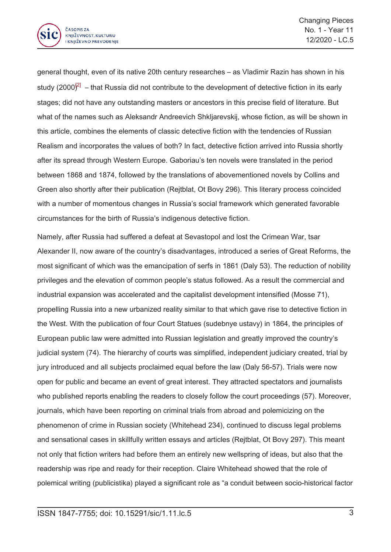

general thought, even of its native 20th century researches – as Vladimir Razin has shown in his study (2000<sup>j2]</sup> – that Russia did not contribute to the development of detective fiction in its early stages; did not have any outstanding masters or ancestors in this precise field of literature. But what of the names such as Aleksandr Andreevich Shkljarevskij, whose fiction, as will be shown in this article, combines the elements of classic detective fiction with the tendencies of Russian Realism and incorporates the values of both? In fact, detective fiction arrived into Russia shortly after its spread through Western Europe. Gaboriau's ten novels were translated in the period between 1868 and 1874, followed by the translations of abovementioned novels by Collins and Green also shortly after their publication (Rejtblat, Ot Bovy 296). This literary process coincided with <sup>a</sup> number of momentous changes in Russia's social framework which generated favorable circumstances for the birth of Russia's indigenous detective fiction.

Namely, after Russia had suffered <sup>a</sup> defeat at Sevastopol and lost the Crimean War, tsar Alexander II, now aware of the country's disadvantages, introduced <sup>a</sup> series of Great Reforms, the most significant of which was the emancipation of serfs in 1861 (Daly 53). The reduction of nobility privileges and the elevation of common people's status followed. As <sup>a</sup> result the commercial and industrial expansion was accelerated and the capitalist development intensified (Mosse 71), propelling Russia into <sup>a</sup> new urbanized reality similar to that which gave rise to detective fiction in the West. With the publication of four Court Statues (sudebnye ustavy) in 1864, the principles of European public law were admitted into Russian legislation and greatly improved the country's judicial system (74). The hierarchy of courts was simplified, independent judiciary created, trial by jury introduced and all subjects proclaimed equal before the law (Daly 56-57). Trials were now open for public and became an event of great interest. They attracted spectators and journalists who published reports enabling the readers to closely follow the court proceedings (57). Moreover, journals, which have been reporting on criminal trials from abroad and polemicizing on the phenomenon of crime in Russian society (Whitehead 234), continued to discuss legal problems and sensational cases in skillfully written essays and articles (Rejtblat, Ot Bovy 297). This meant not only that fiction writers had before them an entirely new wellspring of ideas, but also that the readership was ripe and ready for their reception. Claire Whitehead showed that the role of polemical writing (publicistika) played <sup>a</sup> significant role as "a conduit between socio-historical factor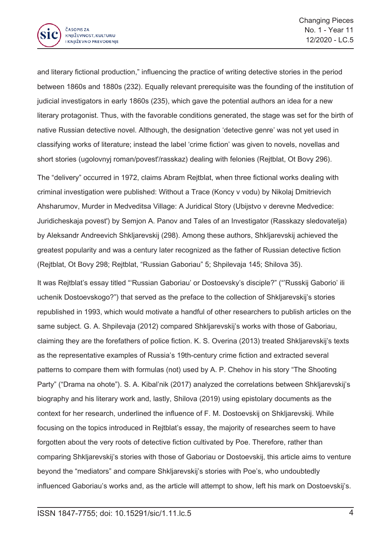

and literary fictional production," influencing the practice of writing detective stories in the period between 1860s and 1880s (232). Equally relevant prerequisite was the founding of the institution of judicial investigators in early 1860s (235), which gave the potential authors an idea for <sup>a</sup> new literary protagonist. Thus, with the favorable conditions generated, the stage was set for the birth of native Russian detective novel. Although, the designation 'detective genre' was not yet used in classifying works of literature; instead the label 'crime fiction' was given to novels, novellas and short stories (ugolovnyj roman/povest'/rasskaz) dealing with felonies (Rejtblat, Ot Bovy 296).

The "delivery" occurred in 1972, claims Abram Rejtblat, when three fictional works dealing with criminal investigation were published: Without <sup>a</sup> Trace (Koncy <sup>v</sup> vodu) by Nikolaj Dmitrievich Ahsharumov, Murder in Medveditsa Village: A Juridical Story (Ubijstvo <sup>v</sup> derevne Medvedice: Juridicheskaja povest') by Semjon A. Panov and Tales of an Investigator (Rasskazy sledovatelja) by Aleksandr Andreevich Shkljarevskij (298). Among these authors, Shkljarevskij achieved the greatest popularity and was <sup>a</sup> century later recognized as the father of Russian detective fiction (Rejtblat, Ot Bovy 298; Rejtblat, "Russian Gaboriau" 5; Shpilevaja 145; Shilova 35).

It was Rejtblat's essay titled "'Russian Gaboriau' or Dostoevsky's disciple?" ("'Russkij Gaborio' ili uchenik Dostoevskogo?") that served as the preface to the collection of Shkljarevskij's stories republished in 1993, which would motivate <sup>a</sup> handful of other researchers to publish articles on the same subject. G. A. Shpilevaja (2012) compared Shkljarevskij's works with those of Gaboriau, claiming they are the forefathers of police fiction. K. S. Overina (2013) treated Shkljarevskij's texts as the representative examples of Russia's 19th-century crime fiction and extracted several patterns to compare them with formulas (not) used by A. P. Chehov in his story "The Shooting Party" ("Drama na ohote"). S. A. Kibal'nik (2017) analyzed the correlations between Shkljarevskij's biography and his literary work and, lastly, Shilova (2019) using epistolary documents as the context for her research, underlined the influence of F. M. Dostoevskij on Shkljarevskij. While focusing on the topics introduced in Rejtblat's essay, the majority of researches seem to have forgotten about the very roots of detective fiction cultivated by Poe. Therefore, rather than comparing Shkljarevskij's stories with those of Gaboriau or Dostoevskij, this article aims to venture beyond the "mediators" and compare Shkljarevskij's stories with Poe's, who undoubtedly influenced Gaboriau's works and, as the article will attempt to show, left his mark on Dostoevskij's.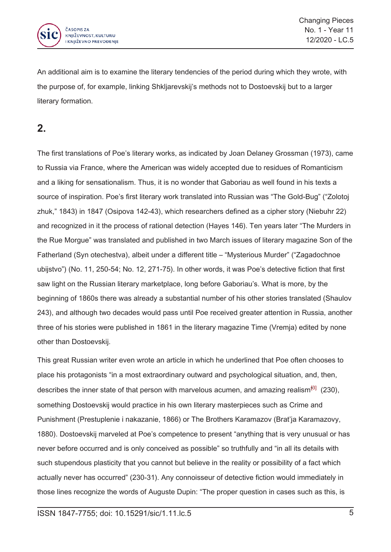

An additional aim is to examine the literary tendencies of the period during which they wrote, with the purpose of, for example, linking Shkljarevskij's methods not to Dostoevskij but to <sup>a</sup> larger literary formation.

## **2.**

The first translations of Poe's literary works, as indicated by Joan Delaney Grossman (1973), came to Russia via France, where the American was widely accepted due to residues of Romanticism and <sup>a</sup> liking for sensationalism. Thus, it is no wonder that Gaboriau as well found in his texts <sup>a</sup> source of inspiration. Poe's first literary work translated into Russian was "The Gold-Bug" ("Zolotoj zhuk," 1843) in 1847 (Osipova 142-43), which researchers defined as <sup>a</sup> cipher story (Niebuhr 22) and recognized in it the process of rational detection (Hayes 146). Ten years later "The Murders in the Rue Morgue" was translated and published in two March issues of literary magazine Son of the Fatherland (Syn otechestva), albeit under <sup>a</sup> different title – "Mysterious Murder" ("Zagadochnoe ubijstvo") (No. 11, 250-54; No. 12, 271-75). In other words, it was Poe's detective fiction that first saw light on the Russian literary marketplace, long before Gaboriau's. What is more, by the beginning of 1860s there was already <sup>a</sup> substantial number of his other stories translated (Shaulov 243), and although two decades would pass until Poe received greater attention in Russia, another three of his stories were published in 1861 in the literary magazine Time (Vremja) edited by none other than Dostoevskij.

This great Russian writer even wrote an article in which he underlined that Poe often chooses to place his protagonists "in <sup>a</sup> most extraordinary outward and psychological situation, and, then, describes the inner state of that person with marvelous acumen, and amazing realism<sup>{3]</sup> (230), something Dostoevskij would practice in his own literary masterpieces such as Crime and Punishment (Prestuplenie i nakazanie, 1866) or The Brothers Karamazov (Brat'ja Karamazovy, 1880). Dostoevskij marveled at Poe's competence to present "anything that is very unusual or has never before occurred and is only conceived as possible" so truthfully and "in all its details with such stupendous plasticity that you cannot but believe in the reality or possibility of <sup>a</sup> fact which actually never has occurred" (230-31). Any connoisseur of detective fiction would immediately in those lines recognize the words of Auguste Dupin: "The proper question in cases such as this, is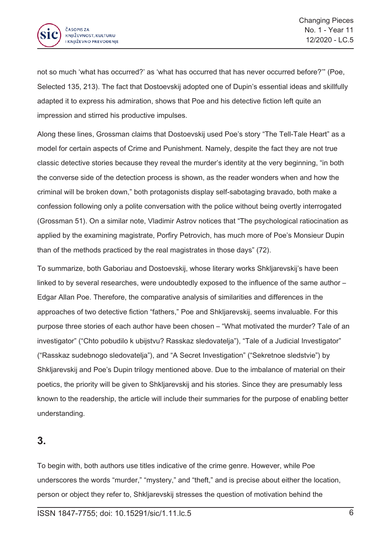

not so much 'what has occurred?' as 'what has occurred that has never occurred before?'" (Poe, Selected 135, 213). The fact that Dostoevskij adopted one of Dupin's essential ideas and skillfully adapted it to express his admiration, shows that Poe and his detective fiction left quite an impression and stirred his productive impulses.

Along these lines, Grossman claims that Dostoevskij used Poe's story "The Tell-Tale Heart" as <sup>a</sup> model for certain aspects of Crime and Punishment. Namely, despite the fact they are not true classic detective stories because they reveal the murder's identity at the very beginning, "in both the converse side of the detection process is shown, as the reader wonders when and how the criminal will be broken down," both protagonists display self-sabotaging bravado, both make <sup>a</sup> confession following only <sup>a</sup> polite conversation with the police without being overtly interrogated (Grossman 51). On <sup>a</sup> similar note, Vladimir Astrov notices that "The psychological ratiocination as applied by the examining magistrate, Porfiry Petrovich, has much more of Poe's Monsieur Dupin than of the methods practiced by the real magistrates in those days" (72).

To summarize, both Gaboriau and Dostoevskij, whose literary works Shkljarevskij's have been linked to by several researches, were undoubtedly exposed to the influence of the same author – Edgar Allan Poe. Therefore, the comparative analysis of similarities and differences in the approaches of two detective fiction "fathers," Poe and Shkljarevskij, seems invaluable. For this purpose three stories of each author have been chosen – "What motivated the murder? Tale of an investigator" ("Chto pobudilo k ubijstvu? Rasskaz sledovatelja"), "Tale of <sup>a</sup> Judicial Investigator" ("Rasskaz sudebnogo sledovatelja"), and "A Secret Investigation" ("Sekretnoe sledstvie") by Shkljarevskij and Poe's Dupin trilogy mentioned above. Due to the imbalance of material on their poetics, the priority will be given to Shkljarevskij and his stories. Since they are presumably less known to the readership, the article will include their summaries for the purpose of enabling better understanding.

### **3.**

To begin with, both authors use titles indicative of the crime genre. However, while Poe underscores the words "murder," "mystery," and "theft," and is precise about either the location, person or object they refer to, Shkljarevskij stresses the question of motivation behind the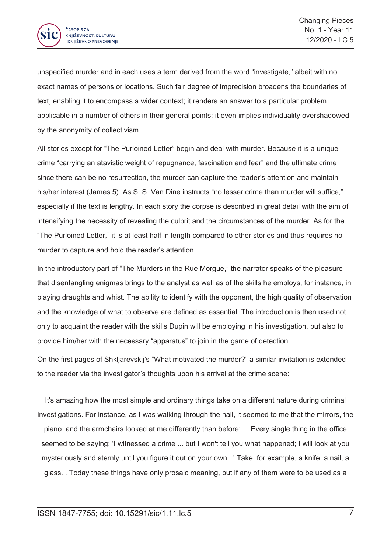

unspecified murder and in each uses <sup>a</sup> term derived from the word "investigate," albeit with no exact names of persons or locations. Such fair degree of imprecision broadens the boundaries of text, enabling it to encompass <sup>a</sup> wider context; it renders an answer to <sup>a</sup> particular problem applicable in <sup>a</sup> number of others in their general points; it even implies individuality overshadowed by the anonymity of collectivism.

All stories except for "The Purloined Letter" begin and deal with murder. Because it is <sup>a</sup> unique crime "carrying an atavistic weight of repugnance, fascination and fear" and the ultimate crime since there can be no resurrection, the murder can capture the reader's attention and maintain his/her interest (James 5). As S. S. Van Dine instructs "no lesser crime than murder will suffice," especially if the text is lengthy. In each story the corpse is described in great detail with the aim of intensifying the necessity of revealing the culprit and the circumstances of the murder. As for the "The Purloined Letter," it is at least half in length compared to other stories and thus requires no murder to capture and hold the reader's attention.

In the introductory part of "The Murders in the Rue Morgue," the narrator speaks of the pleasure that disentangling enigmas brings to the analyst as well as of the skills he employs, for instance, in playing draughts and whist. The ability to identify with the opponent, the high quality of observation and the knowledge of what to observe are defined as essential. The introduction is then used not only to acquaint the reader with the skills Dupin will be employing in his investigation, but also to provide him/her with the necessary "apparatus" to join in the game of detection.

On the first pages of Shkljarevskij's "What motivated the murder?" <sup>a</sup> similar invitation is extended to the reader via the investigator's thoughts upon his arrival at the crime scene:

*It's amazing how the most simple and ordinary things take on <sup>a</sup> different nature during criminal* investigations. For instance, as I was walking through the hall, it seemed to me that the mirrors, the *piano, and the armchairs looked at me differently than before; ... Every single thing in the office* seemed to be saying: 'I witnessed a crime ... but I won't tell you what happened; I will look at you mysteriously and sternly until you figure it out on your own...' Take, for example, a knife, a nail, a glass... Today these things have only prosaic meaning, but if any of them were to be used as a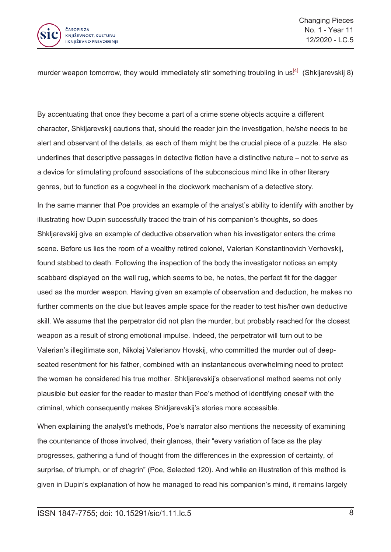

*murder weapon tomorrow, they would immediately stir something troubling in us. [4] (Shkljarevskij 8)*

By accentuating that once they become <sup>a</sup> part of <sup>a</sup> crime scene objects acquire <sup>a</sup> different character, Shkljarevskij cautions that, should the reader join the investigation, he/she needs to be alert and observant of the details, as each of them might be the crucial piece of <sup>a</sup> puzzle. He also underlines that descriptive passages in detective fiction have <sup>a</sup> distinctive nature – not to serve as <sup>a</sup> device for stimulating profound associations of the subconscious mind like in other literary genres, but to function as <sup>a</sup> cogwheel in the clockwork mechanism of <sup>a</sup> detective story.

In the same manner that Poe provides an example of the analyst's ability to identify with another by illustrating how Dupin successfully traced the train of his companion's thoughts, so does Shkljarevskij give an example of deductive observation when his investigator enters the crime scene. Before us lies the room of <sup>a</sup> wealthy retired colonel, Valerian Konstantinovich Verhovskij, found stabbed to death. Following the inspection of the body the investigator notices an empty scabbard displayed on the wall rug, which seems to be, he notes, the perfect fit for the dagger used as the murder weapon. Having given an example of observation and deduction, he makes no further comments on the clue but leaves ample space for the reader to test his/her own deductive skill. We assume that the perpetrator did not plan the murder, but probably reached for the closest weapon as <sup>a</sup> result of strong emotional impulse. Indeed, the perpetrator will turn out to be Valerian's illegitimate son, Nikolaj Valerianov Hovskij, who committed the murder out of deepseated resentment for his father, combined with an instantaneous overwhelming need to protect the woman he considered his true mother. Shkljarevskij's observational method seems not only plausible but easier for the reader to master than Poe's method of identifying oneself with the criminal, which consequently makes Shkljarevskij's stories more accessible.

When explaining the analyst's methods, Poe's narrator also mentions the necessity of examining the countenance of those involved, their glances, their "every variation of face as the play progresses, gathering <sup>a</sup> fund of thought from the differences in the expression of certainty, of surprise, of triumph, or of chagrin" (Poe, Selected 120). And while an illustration of this method is given in Dupin's explanation of how he managed to read his companion's mind, it remains largely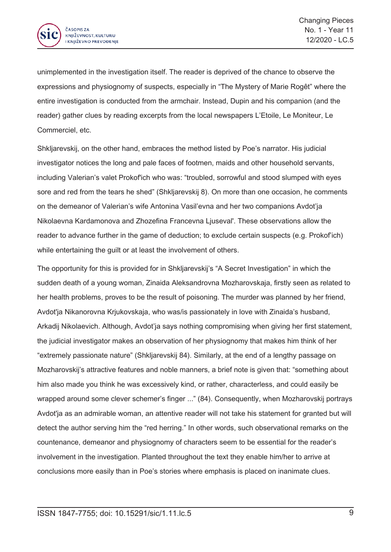

unimplemented in the investigation itself. The reader is deprived of the chance to observe the expressions and physiognomy of suspects, especially in "The Mystery of Marie Rogêt" where the entire investigation is conducted from the armchair. Instead, Dupin and his companion (and the reader) gather clues by reading excerpts from the local newspapers L'Etoile, Le Moniteur, Le Commerciel, etc.

Shkljarevskij, on the other hand, embraces the method listed by Poe's narrator. His judicial investigator notices the long and pale faces of footmen, maids and other household servants, including Valerian's valet Prokof'ich who was: "troubled, sorrowful and stood slumped with eyes sore and red from the tears he shed" (Shkljarevskij 8). On more than one occasion, he comments on the demeanor of Valerian's wife Antonina Vasil'evna and her two companions Avdot'ja Nikolaevna Kardamonova and Zhozefina Francevna Ljuseval'. These observations allow the reader to advance further in the game of deduction; to exclude certain suspects (e.g. Prokof'ich) while entertaining the guilt or at least the involvement of others.

The opportunity for this is provided for in Shkljarevskij's "A Secret Investigation" in which the sudden death of <sup>a</sup> young woman, Zinaida Aleksandrovna Mozharovskaja, firstly seen as related to her health problems, proves to be the result of poisoning. The murder was planned by her friend, Avdot'ja Nikanorovna Krjukovskaja, who was/is passionately in love with Zinaida's husband, Arkadij Nikolaevich. Although, Avdot'ja says nothing compromising when giving her first statement, the judicial investigator makes an observation of her physiognomy that makes him think of her "extremely passionate nature" (Shkljarevskij 84). Similarly, at the end of <sup>a</sup> lengthy passage on Mozharovskij's attractive features and noble manners, <sup>a</sup> brief note is given that: "something about him also made you think he was excessively kind, or rather, characterless, and could easily be wrapped around some clever schemer's finger ..." (84). Consequently, when Mozharovskij portrays Avdot'ja as an admirable woman, an attentive reader will not take his statement for granted but will detect the author serving him the "red herring." In other words, such observational remarks on the countenance, demeanor and physiognomy of characters seem to be essential for the reader's involvement in the investigation. Planted throughout the text they enable him/her to arrive at conclusions more easily than in Poe's stories where emphasis is placed on inanimate clues.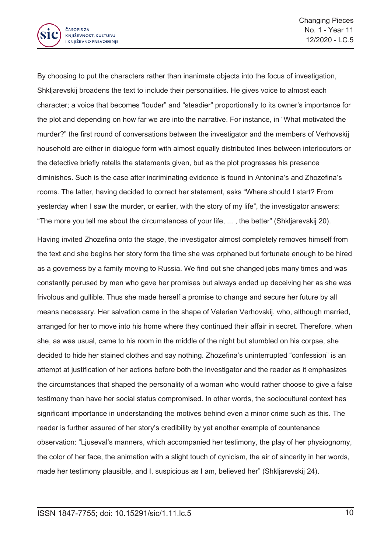

By choosing to put the characters rather than inanimate objects into the focus of investigation, Shkljarevskij broadens the text to include their personalities. He gives voice to almost each character; <sup>a</sup> voice that becomes "louder" and "steadier" proportionally to its owner's importance for the plot and depending on how far we are into the narrative. For instance, in "What motivated the murder?" the first round of conversations between the investigator and the members of Verhovskij household are either in dialogue form with almost equally distributed lines between interlocutors or the detective briefly retells the statements given, but as the plot progresses his presence diminishes. Such is the case after incriminating evidence is found in Antonina's and Zhozefina's rooms. The latter, having decided to correct her statement, asks "Where should I start? From yesterday when I saw the murder, or earlier, with the story of my life", the investigator answers: "The more you tell me about the circumstances of your life, ... , the better" (Shkljarevskij 20).

Having invited Zhozefina onto the stage, the investigator almost completely removes himself from the text and she begins her story form the time she was orphaned but fortunate enough to be hired as <sup>a</sup> governess by <sup>a</sup> family moving to Russia. We find out she changed jobs many times and was constantly perused by men who gave her promises but always ended up deceiving her as she was frivolous and gullible. Thus she made herself <sup>a</sup> promise to change and secure her future by all means necessary. Her salvation came in the shape of Valerian Verhovskij, who, although married, arranged for her to move into his home where they continued their affair in secret. Therefore, when she, as was usual, came to his room in the middle of the night but stumbled on his corpse, she decided to hide her stained clothes and say nothing. Zhozefina's uninterrupted "confession" is an attempt at justification of her actions before both the investigator and the reader as it emphasizes the circumstances that shaped the personality of <sup>a</sup> woman who would rather choose to give <sup>a</sup> false testimony than have her social status compromised. In other words, the sociocultural context has significant importance in understanding the motives behind even <sup>a</sup> minor crime such as this. The reader is further assured of her story's credibility by yet another example of countenance observation: "Ljuseval's manners, which accompanied her testimony, the play of her physiognomy, the color of her face, the animation with <sup>a</sup> slight touch of cynicism, the air of sincerity in her words, made her testimony plausible, and I, suspicious as I am, believed her" (Shkljarevskij 24).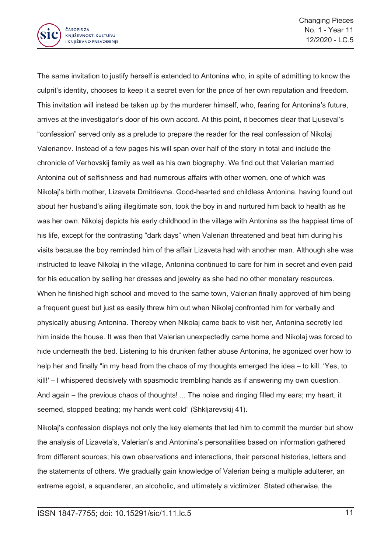

The same invitation to justify herself is extended to Antonina who, in spite of admitting to know the culprit's identity, chooses to keep it <sup>a</sup> secret even for the price of her own reputation and freedom. This invitation will instead be taken up by the murderer himself, who, fearing for Antonina's future, arrives at the investigator's door of his own accord. At this point, it becomes clear that Ljuseval's "confession" served only as <sup>a</sup> prelude to prepare the reader for the real confession of Nikolaj Valerianov. Instead of <sup>a</sup> few pages his will span over half of the story in total and include the chronicle of Verhovskij family as well as his own biography. We find out that Valerian married Antonina out of selfishness and had numerous affairs with other women, one of which was Nikolaj's birth mother, Lizaveta Dmitrievna. Good-hearted and childless Antonina, having found out about her husband's ailing illegitimate son, took the boy in and nurtured him back to health as he was her own. Nikolaj depicts his early childhood in the village with Antonina as the happiest time of his life, except for the contrasting "dark days" when Valerian threatened and beat him during his visits because the boy reminded him of the affair Lizaveta had with another man. Although she was instructed to leave Nikolaj in the village, Antonina continued to care for him in secret and even paid for his education by selling her dresses and jewelry as she had no other monetary resources. When he finished high school and moved to the same town, Valerian finally approved of him being <sup>a</sup> frequent guest but just as easily threw him out when Nikolaj confronted him for verbally and physically abusing Antonina. Thereby when Nikolaj came back to visit her, Antonina secretly led him inside the house. It was then that Valerian unexpectedly came home and Nikolaj was forced to hide underneath the bed. Listening to his drunken father abuse Antonina, he agonized over how to help her and finally "in my head from the chaos of my thoughts emerged the idea – to kill. 'Yes, to kill!' – I whispered decisively with spasmodic trembling hands as if answering my own question. And again – the previous chaos of thoughts! ... The noise and ringing filled my ears; my heart, it seemed, stopped beating; my hands went cold" (Shkljarevskij 41).

Nikolaj's confession displays not only the key elements that led him to commit the murder but show the analysis of Lizaveta's, Valerian's and Antonina's personalities based on information gathered from different sources; his own observations and interactions, their personal histories, letters and the statements of others. We gradually gain knowledge of Valerian being <sup>a</sup> multiple adulterer, an extreme egoist, <sup>a</sup> squanderer, an alcoholic, and ultimately <sup>a</sup> victimizer. Stated otherwise, the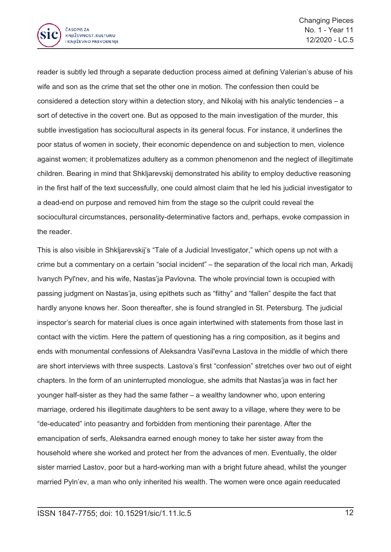

reader is subtly led through <sup>a</sup> separate deduction process aimed at defining Valerian's abuse of his wife and son as the crime that set the other one in motion. The confession then could be considered <sup>a</sup> detection story within <sup>a</sup> detection story, and Nikolaj with his analytic tendencies – <sup>a</sup> sort of detective in the covert one. But as opposed to the main investigation of the murder, this subtle investigation has sociocultural aspects in its general focus. For instance, it underlines the poor status of women in society, their economic dependence on and subjection to men, violence against women; it problematizes adultery as <sup>a</sup> common phenomenon and the neglect of illegitimate children. Bearing in mind that Shkljarevskij demonstrated his ability to employ deductive reasoning in the first half of the text successfully, one could almost claim that he led his judicial investigator to <sup>a</sup> dead-end on purpose and removed him from the stage so the culprit could reveal the sociocultural circumstances, personality-determinative factors and, perhaps, evoke compassion in the reader.

This is also visible in Shkljarevskij's "Tale of <sup>a</sup> Judicial Investigator," which opens up not with <sup>a</sup> crime but <sup>a</sup> commentary on <sup>a</sup> certain "social incident" – the separation of the local rich man, Arkadij Ivanych Pyl'nev, and his wife, Nastas'ja Pavlovna. The whole provincial town is occupied with passing judgment on Nastas'ja, using epithets such as "filthy" and "fallen" despite the fact that hardly anyone knows her. Soon thereafter, she is found strangled in St. Petersburg. The judicial inspector's search for material clues is once again intertwined with statements from those last in contact with the victim. Here the pattern of questioning has <sup>a</sup> ring composition, as it begins and ends with monumental confessions of Aleksandra Vasil'evna Lastova in the middle of which there are short interviews with three suspects. Lastova's first "confession" stretches over two out of eight chapters. In the form of an uninterrupted monologue, she admits that Nastas'ja was in fact her younger half-sister as they had the same father – <sup>a</sup> wealthy landowner who, upon entering marriage, ordered his illegitimate daughters to be sent away to <sup>a</sup> village, where they were to be "de-educated" into peasantry and forbidden from mentioning their parentage. After the emancipation of serfs, Aleksandra earned enough money to take her sister away from the household where she worked and protect her from the advances of men. Eventually, the older sister married Lastov, poor but <sup>a</sup> hard-working man with <sup>a</sup> bright future ahead, whilst the younger married Pyln'ev, <sup>a</sup> man who only inherited his wealth. The women were once again reeducated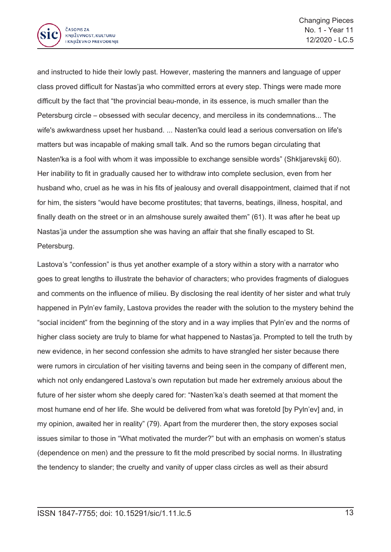

and instructed to hide their lowly past. However, mastering the manners and language of upper class proved difficult for Nastas'ja who committed errors at every step. Things were made more difficult by the fact that "the provincial beau-monde, in its essence, is much smaller than the Petersburg circle – obsessed with secular decency, and merciless in its condemnations... The wife's awkwardness upset her husband. ... Nasten'ka could lead <sup>a</sup> serious conversation on life's matters but was incapable of making small talk. And so the rumors began circulating that Nasten'ka is <sup>a</sup> fool with whom it was impossible to exchange sensible words" (Shkljarevskij 60). Her inability to fit in gradually caused her to withdraw into complete seclusion, even from her husband who, cruel as he was in his fits of jealousy and overall disappointment, claimed that if not for him, the sisters "would have become prostitutes; that taverns, beatings, illness, hospital, and finally death on the street or in an almshouse surely awaited them" (61). It was after he beat up Nastas'ja under the assumption she was having an affair that she finally escaped to St. Petersburg.

Lastova's "confession" is thus yet another example of <sup>a</sup> story within <sup>a</sup> story with <sup>a</sup> narrator who goes to great lengths to illustrate the behavior of characters; who provides fragments of dialogues and comments on the influence of milieu. By disclosing the real identity of her sister and what truly happened in Pyln'ev family, Lastova provides the reader with the solution to the mystery behind the "social incident" from the beginning of the story and in <sup>a</sup> way implies that Pyln'ev and the norms of higher class society are truly to blame for what happened to Nastas'ja. Prompted to tell the truth by new evidence, in her second confession she admits to have strangled her sister because there were rumors in circulation of her visiting taverns and being seen in the company of different men, which not only endangered Lastova's own reputation but made her extremely anxious about the future of her sister whom she deeply cared for: "Nasten'ka's death seemed at that moment the most humane end of her life. She would be delivered from what was foretold [by Pyln'ev] and, in my opinion, awaited her in reality" (79). Apart from the murderer then, the story exposes social issues similar to those in "What motivated the murder?" but with an emphasis on women's status (dependence on men) and the pressure to fit the mold prescribed by social norms. In illustrating the tendency to slander; the cruelty and vanity of upper class circles as well as their absurd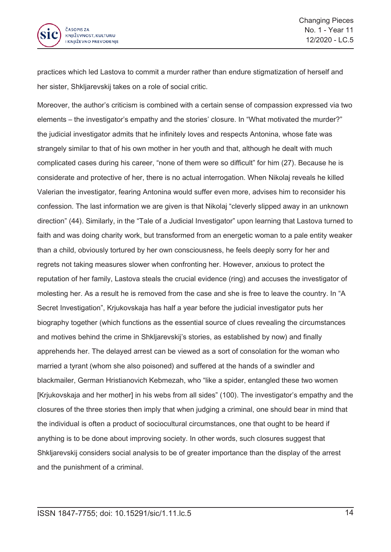

practices which led Lastova to commit <sup>a</sup> murder rather than endure stigmatization of herself and her sister, Shkljarevskij takes on <sup>a</sup> role of social critic.

Moreover, the author's criticism is combined with <sup>a</sup> certain sense of compassion expressed via two elements – the investigator's empathy and the stories' closure. In "What motivated the murder?" the judicial investigator admits that he infinitely loves and respects Antonina, whose fate was strangely similar to that of his own mother in her youth and that, although he dealt with much complicated cases during his career, "none of them were so difficult" for him (27). Because he is considerate and protective of her, there is no actual interrogation. When Nikolaj reveals he killed Valerian the investigator, fearing Antonina would suffer even more, advises him to reconsider his confession. The last information we are given is that Nikolaj "cleverly slipped away in an unknown direction" (44). Similarly, in the "Tale of <sup>a</sup> Judicial Investigator" upon learning that Lastova turned to faith and was doing charity work, but transformed from an energetic woman to <sup>a</sup> pale entity weaker than <sup>a</sup> child, obviously tortured by her own consciousness, he feels deeply sorry for her and regrets not taking measures slower when confronting her. However, anxious to protect the reputation of her family, Lastova steals the crucial evidence (ring) and accuses the investigator of molesting her. As <sup>a</sup> result he is removed from the case and she is free to leave the country. In "A Secret Investigation", Krjukovskaja has half <sup>a</sup> year before the judicial investigator puts her biography together (which functions as the essential source of clues revealing the circumstances and motives behind the crime in Shkljarevskij's stories, as established by now) and finally apprehends her. The delayed arrest can be viewed as <sup>a</sup> sort of consolation for the woman who married <sup>a</sup> tyrant (whom she also poisoned) and suffered at the hands of <sup>a</sup> swindler and blackmailer, German Hristianovich Kebmezah, who "like <sup>a</sup> spider, entangled these two women [Krjukovskaja and her mother] in his webs from all sides" (100). The investigator's empathy and the closures of the three stories then imply that when judging <sup>a</sup> criminal, one should bear in mind that the individual is often <sup>a</sup> product of sociocultural circumstances, one that ought to be heard if anything is to be done about improving society. In other words, such closures suggest that Shkljarevskij considers social analysis to be of greater importance than the display of the arrest and the punishment of <sup>a</sup> criminal.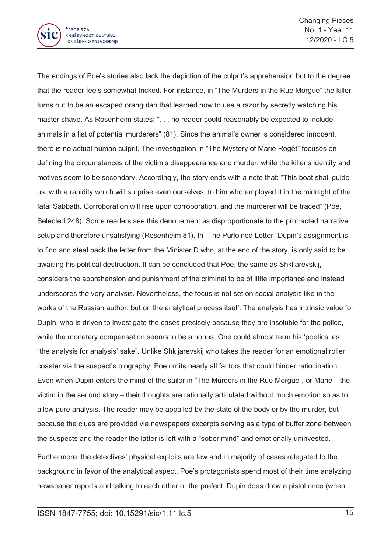

The endings of Poe's stories also lack the depiction of the culprit's apprehension but to the degree that the reader feels somewhat tricked. For instance, in "The Murders in the Rue Morgue" the killer turns out to be an escaped orangutan that learned how to use <sup>a</sup> razor by secretly watching his master shave. As Rosenheim states: ". . . no reader could reasonably be expected to include animals in <sup>a</sup> list of potential murderers" (81). Since the animal's owner is considered innocent, there is no actual human culprit. The investigation in "The Mystery of Marie Rogêt" focuses on defining the circumstances of the victim's disappearance and murder, while the killer's identity and motives seem to be secondary. Accordingly, the story ends with <sup>a</sup> note that: "This boat shall guide us, with <sup>a</sup> rapidity which will surprise even ourselves, to him who employed it in the midnight of the fatal Sabbath. Corroboration will rise upon corroboration, and the murderer will be traced" (Poe, Selected 248). Some readers see this denouement as disproportionate to the protracted narrative setup and therefore unsatisfying (Rosenheim 81). In "The Purloined Letter" Dupin's assignment is to find and steal back the letter from the Minister D who, at the end of the story, is only said to be awaiting his political destruction. It can be concluded that Poe, the same as Shkljarevskij, considers the apprehension and punishment of the criminal to be of little importance and instead underscores the very analysis. Nevertheless, the focus is not set on social analysis like in the works of the Russian author, but on the analytical process itself. The analysis has intrinsic value for Dupin, who is driven to investigate the cases precisely because they are insoluble for the police, while the monetary compensation seems to be <sup>a</sup> bonus. One could almost term his 'poetics' as "the analysis for analysis' sake". Unlike Shkljarevskij who takes the reader for an emotional roller coaster via the suspect's biography, Poe omits nearly all factors that could hinder ratiocination. Even when Dupin enters the mind of the sailor in "The Murders in the Rue Morgue", or Marie – the victim in the second story – their thoughts are rationally articulated without much emotion so as to allow pure analysis. The reader may be appalled by the state of the body or by the murder, but because the clues are provided via newspapers excerpts serving as <sup>a</sup> type of buffer zone between the suspects and the reader the latter is left with <sup>a</sup> "sober mind" and emotionally uninvested.

Furthermore, the detectives' physical exploits are few and in majority of cases relegated to the background in favor of the analytical aspect. Poe's protagonists spend most of their time analyzing newspaper reports and talking to each other or the prefect. Dupin does draw <sup>a</sup> pistol once (when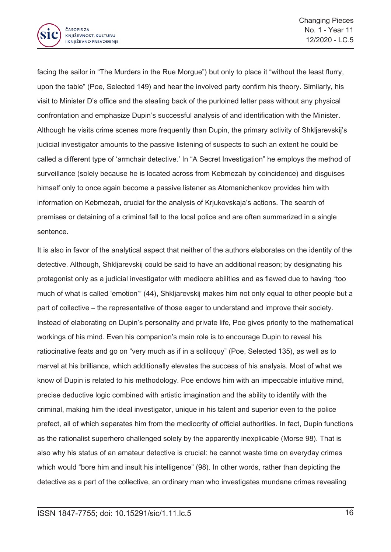

facing the sailor in "The Murders in the Rue Morgue") but only to place it "without the least flurry, upon the table" (Poe, Selected 149) and hear the involved party confirm his theory. Similarly, his visit to Minister D's office and the stealing back of the purloined letter pass without any physical confrontation and emphasize Dupin's successful analysis of and identification with the Minister. Although he visits crime scenes more frequently than Dupin, the primary activity of Shkljarevskij's judicial investigator amounts to the passive listening of suspects to such an extent he could be called <sup>a</sup> different type of 'armchair detective.' In "A Secret Investigation" he employs the method of surveillance (solely because he is located across from Kebmezah by coincidence) and disguises himself only to once again become <sup>a</sup> passive listener as Atomanichenkov provides him with information on Kebmezah, crucial for the analysis of Krjukovskaja's actions. The search of premises or detaining of <sup>a</sup> criminal fall to the local police and are often summarized in <sup>a</sup> single sentence.

It is also in favor of the analytical aspect that neither of the authors elaborates on the identity of the detective. Although, Shkljarevskij could be said to have an additional reason; by designating his protagonist only as <sup>a</sup> judicial investigator with mediocre abilities and as flawed due to having "too much of what is called 'emotion'" (44), Shkljarevskij makes him not only equal to other people but <sup>a</sup> part of collective – the representative of those eager to understand and improve their society. Instead of elaborating on Dupin's personality and private life, Poe gives priority to the mathematical workings of his mind. Even his companion's main role is to encourage Dupin to reveal his ratiocinative feats and go on "very much as if in <sup>a</sup> soliloquy" (Poe, Selected 135), as well as to marvel at his brilliance, which additionally elevates the success of his analysis. Most of what we know of Dupin is related to his methodology. Poe endows him with an impeccable intuitive mind, precise deductive logic combined with artistic imagination and the ability to identify with the criminal, making him the ideal investigator, unique in his talent and superior even to the police prefect, all of which separates him from the mediocrity of official authorities. In fact, Dupin functions as the rationalist superhero challenged solely by the apparently inexplicable (Morse 98). That is also why his status of an amateur detective is crucial: he cannot waste time on everyday crimes which would "bore him and insult his intelligence" (98). In other words, rather than depicting the detective as <sup>a</sup> part of the collective, an ordinary man who investigates mundane crimes revealing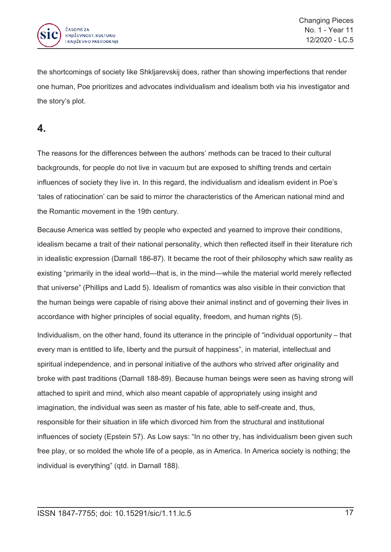

the shortcomings of society like Shkljarevskij does, rather than showing imperfections that render one human, Poe prioritizes and advocates individualism and idealism both via his investigator and the story's plot.

### **4.**

The reasons for the differences between the authors' methods can be traced to their cultural backgrounds, for people do not live in vacuum but are exposed to shifting trends and certain influences of society they live in. In this regard, the individualism and idealism evident in Poe's 'tales of ratiocination' can be said to mirror the characteristics of the American national mind and the Romantic movement in the 19th century.

Because America was settled by people who expected and yearned to improve their conditions, idealism became <sup>a</sup> trait of their national personality, which then reflected itself in their literature rich in idealistic expression (Darnall 186-87). It became the root of their philosophy which saw reality as existing "primarily in the ideal world—that is, in the mind—while the material world merely reflected that universe" (Phillips and Ladd 5). Idealism of romantics was also visible in their conviction that the human beings were capable of rising above their animal instinct and of governing their lives in accordance with higher principles of social equality, freedom, and human rights (5).

Individualism, on the other hand, found its utterance in the principle of "individual opportunity – that every man is entitled to life, liberty and the pursuit of happiness", in material, intellectual and spiritual independence, and in personal initiative of the authors who strived after originality and broke with past traditions (Darnall 188-89). Because human beings were seen as having strong will attached to spirit and mind, which also meant capable of appropriately using insight and imagination, the individual was seen as master of his fate, able to self-create and, thus, responsible for their situation in life which divorced him from the structural and institutional influences of society (Epstein 57). As Low says: "In no other try, has individualism been given such free play, or so molded the whole life of <sup>a</sup> people, as in America. In America society is nothing; the individual is everything" (qtd. in Darnall 188).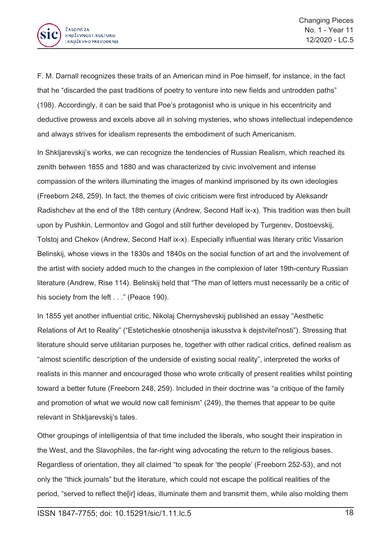

F. M. Darnall recognizes these traits of an American mind in Poe himself, for instance, in the fact that he "discarded the past traditions of poetry to venture into new fields and untrodden paths" (198). Accordingly, it can be said that Poe's protagonist who is unique in his eccentricity and deductive prowess and excels above all in solving mysteries, who shows intellectual independence and always strives for idealism represents the embodiment of such Americanism.

In Shkljarevskij's works, we can recognize the tendencies of Russian Realism, which reached its zenith between 1855 and 1880 and was characterized by civic involvement and intense compassion of the writers illuminating the images of mankind imprisoned by its own ideologies (Freeborn 248, 259). In fact, the themes of civic criticism were first introduced by Aleksandr Radishchev at the end of the 18th century (Andrew, Second Half ix-x). This tradition was then built upon by Pushkin, Lermontov and Gogol and still further developed by Turgenev, Dostoevskij, Tolstoj and Chekov (Andrew, Second Half ix-x). Especially influential was literary critic Vissarion Belinskij, whose views in the 1830s and 1840s on the social function of art and the involvement of the artist with society added much to the changes in the complexion of later 19th-century Russian literature (Andrew, Rise 114). Belinskij held that "The man of letters must necessarily be <sup>a</sup> critic of his society from the left . . ." (Peace 190).

In 1855 yet another influential critic, Nikolaj Chernyshevskij published an essay "Aesthetic Relations of Art to Reality" ("Esteticheskie otnoshenija iskusstva k dejstvitel'nosti"). Stressing that literature should serve utilitarian purposes he, together with other radical critics, defined realism as "almost scientific description of the underside of existing social reality", interpreted the works of realists in this manner and encouraged those who wrote critically of present realities whilst pointing toward <sup>a</sup> better future (Freeborn 248, 259). Included in their doctrine was "a critique of the family and promotion of what we would now call feminism" (249), the themes that appear to be quite relevant in Shkljarevskij's tales.

Other groupings of intelligentsia of that time included the liberals, who sought their inspiration in the West, and the Slavophiles, the far-right wing advocating the return to the religious bases. Regardless of orientation, they all claimed "to speak for 'the people' (Freeborn 252-53), and not only the "thick journals" but the literature, which could not escape the political realities of the period, "served to reflect the[ir] ideas, illuminate them and transmit them, while also molding them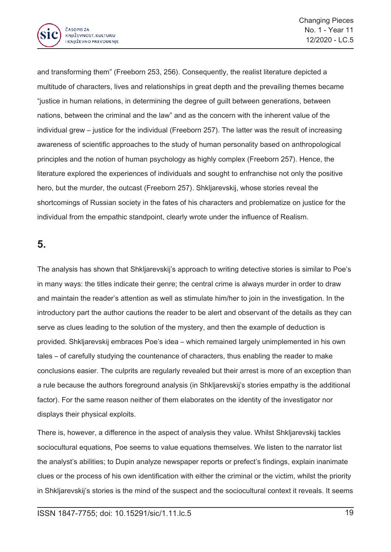

and transforming them" (Freeborn 253, 256). Consequently, the realist literature depicted <sup>a</sup> multitude of characters, lives and relationships in great depth and the prevailing themes became "justice in human relations, in determining the degree of guilt between generations, between nations, between the criminal and the law" and as the concern with the inherent value of the individual grew – justice for the individual (Freeborn 257). The latter was the result of increasing awareness of scientific approaches to the study of human personality based on anthropological principles and the notion of human psychology as highly complex (Freeborn 257). Hence, the literature explored the experiences of individuals and sought to enfranchise not only the positive hero, but the murder, the outcast (Freeborn 257). Shkljarevskij, whose stories reveal the shortcomings of Russian society in the fates of his characters and problematize on justice for the individual from the empathic standpoint, clearly wrote under the influence of Realism.

### **5.**

The analysis has shown that Shkljarevskij's approach to writing detective stories is similar to Poe's in many ways: the titles indicate their genre; the central crime is always murder in order to draw and maintain the reader's attention as well as stimulate him/her to join in the investigation. In the introductory part the author cautions the reader to be alert and observant of the details as they can serve as clues leading to the solution of the mystery, and then the example of deduction is provided. Shkljarevskij embraces Poe's idea – which remained largely unimplemented in his own tales – of carefully studying the countenance of characters, thus enabling the reader to make conclusions easier. The culprits are regularly revealed but their arrest is more of an exception than <sup>a</sup> rule because the authors foreground analysis (in Shkljarevskij's stories empathy is the additional factor). For the same reason neither of them elaborates on the identity of the investigator nor displays their physical exploits.

There is, however, <sup>a</sup> difference in the aspect of analysis they value. Whilst Shkljarevskij tackles sociocultural equations, Poe seems to value equations themselves. We listen to the narrator list the analyst's abilities; to Dupin analyze newspaper reports or prefect's findings, explain inanimate clues or the process of his own identification with either the criminal or the victim, whilst the priority in Shkljarevskij's stories is the mind of the suspect and the sociocultural context it reveals. It seems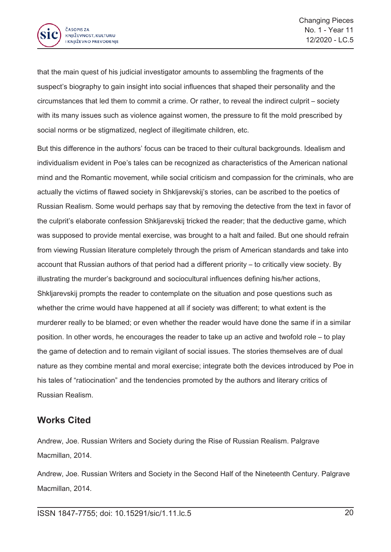

that the main quest of his judicial investigator amounts to assembling the fragments of the suspect's biography to gain insight into social influences that shaped their personality and the circumstances that led them to commit <sup>a</sup> crime. Or rather, to reveal the indirect culprit – society with its many issues such as violence against women, the pressure to fit the mold prescribed by social norms or be stigmatized, neglect of illegitimate children, etc.

But this difference in the authors' focus can be traced to their cultural backgrounds. Idealism and individualism evident in Poe's tales can be recognized as characteristics of the American national mind and the Romantic movement, while social criticism and compassion for the criminals, who are actually the victims of flawed society in Shkljarevskij's stories, can be ascribed to the poetics of Russian Realism. Some would perhaps say that by removing the detective from the text in favor of the culprit's elaborate confession Shkljarevskij tricked the reader; that the deductive game, which was supposed to provide mental exercise, was brought to <sup>a</sup> halt and failed. But one should refrain from viewing Russian literature completely through the prism of American standards and take into account that Russian authors of that period had <sup>a</sup> different priority – to critically view society. By illustrating the murder's background and sociocultural influences defining his/her actions, Shkljarevskij prompts the reader to contemplate on the situation and pose questions such as whether the crime would have happened at all if society was different; to what extent is the murderer really to be blamed; or even whether the reader would have done the same if in <sup>a</sup> similar position. In other words, he encourages the reader to take up an active and twofold role – to play the game of detection and to remain vigilant of social issues. The stories themselves are of dual nature as they combine mental and moral exercise; integrate both the devices introduced by Poe in his tales of "ratiocination" and the tendencies promoted by the authors and literary critics of Russian Realism.

#### **Works Cited**

Andrew, Joe. Russian Writers and Society during the Rise of Russian Realism. Palgrave Macmillan, 2014.

Andrew, Joe. Russian Writers and Society in the Second Half of the Nineteenth Century. Palgrave Macmillan, 2014.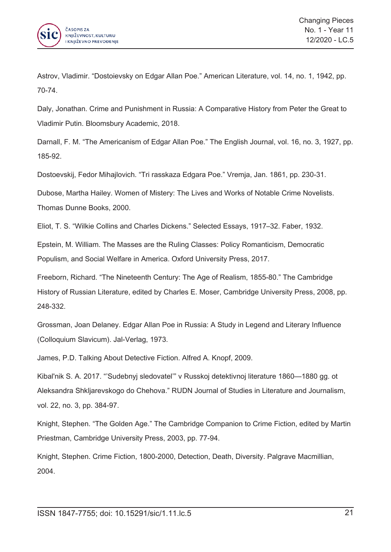

Astrov, Vladimir. "Dostoievsky on Edgar Allan Poe." American Literature, vol. 14, no. 1, 1942, pp. 70-74.

Daly, Jonathan. Crime and Punishment in Russia: A Comparative History from Peter the Great to Vladimir Putin. Bloomsbury Academic, 2018.

Darnall, F. M. "The Americanism of Edgar Allan Poe." The English Journal, vol. 16, no. 3, 1927, pp. 185-92.

Dostoevskij, Fedor Mihajlovich. "Tri rasskaza Edgara Poe." Vremja, Jan. 1861, pp. 230-31.

Dubose, Martha Hailey. Women of Mistery: The Lives and Works of Notable Crime Novelists. Thomas Dunne Books, 2000.

Eliot, T. S. "Wilkie Collins and Charles Dickens." Selected Essays, 1917–32. Faber, 1932.

Epstein, M. William. The Masses are the Ruling Classes: Policy Romanticism, Democratic Populism, and Social Welfare in America. Oxford University Press, 2017.

Freeborn, Richard. "The Nineteenth Century: The Age of Realism, 1855-80." The Cambridge History of Russian Literature, edited by Charles E. Moser, Cambridge University Press, 2008, pp. 248-332.

Grossman, Joan Delaney. Edgar Allan Poe in Russia: A Study in Legend and Literary Influence (Colloquium Slavicum). Jal-Verlag, 1973.

James, P.D. Talking About Detective Fiction. Alfred A. Knopf, 2009.

Kibal'nik S. A. 2017. "'Sudebnyj sledovatel'" <sup>v</sup> Russkoj detektivnoj literature 1860—1880 gg. ot Aleksandra Shkljarevskogo do Chehova." RUDN Journal of Studies in Literature and Journalism, vol. 22, no. 3, pp. 384-97.

Knight, Stephen. "The Golden Age." The Cambridge Companion to Crime Fiction, edited by Martin Priestman, Cambridge University Press, 2003, pp. 77-94.

Knight, Stephen. Crime Fiction, 1800-2000, Detection, Death, Diversity. Palgrave Macmillian, 2004.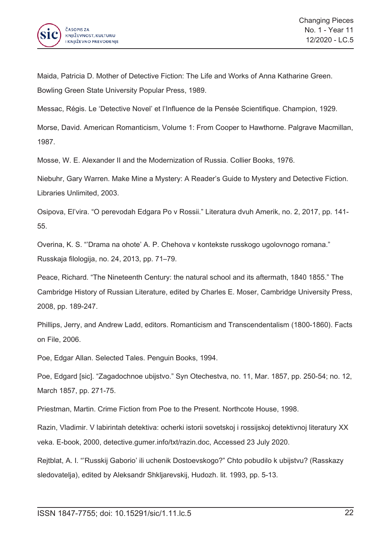

Maida, Patricia D. Mother of Detective Fiction: The Life and Works of Anna Katharine Green. Bowling Green State University Popular Press, 1989.

Messac, Régis. Le 'Detective Novel' et l'Influence de la Pensée Scientifique. Champion, 1929.

Morse, David. American Romanticism, Volume 1: From Cooper to Hawthorne. Palgrave Macmillan, 1987.

Mosse, W. E. Alexander II and the Modernization of Russia. Collier Books, 1976.

Niebuhr, Gary Warren. Make Mine <sup>a</sup> Mystery: A Reader's Guide to Mystery and Detective Fiction. Libraries Unlimited, 2003.

Osipova, El'vira. "O perevodah Edgara Po <sup>v</sup> Rossii." Literatura dvuh Amerik, no. 2, 2017, pp. 141- 55.

Overina, K. S. "'Drama na ohote' A. P. Chehova <sup>v</sup> kontekste russkogo ugolovnogo romana." Russkaja filologija, no. 24, 2013, pp. 71–79.

Peace, Richard. "The Nineteenth Century: the natural school and its aftermath, 1840 1855." The Cambridge History of Russian Literature, edited by Charles E. Moser, Cambridge University Press, 2008, pp. 189-247.

Phillips, Jerry, and Andrew Ladd, editors. Romanticism and Transcendentalism (1800-1860). Facts on File, 2006.

Poe, Edgar Allan. Selected Tales. Penguin Books, 1994.

Poe, Edgard [sic]. "Zagadochnoe ubijstvo." Syn Otechestva, no. 11, Mar. 1857, pp. 250-54; no. 12, March 1857, pp. 271-75.

Priestman, Martin. Crime Fiction from Poe to the Present. Northcote House, 1998.

Razin, Vladimir. V labirintah detektiva: ocherki istorii sovetskoj i rossijskoj detektivnoj literatury XX veka. E-book, 2000, detective.gumer.info/txt/razin.doc, Accessed 23 July 2020.

Rejtblat, A. I. "'Russkij Gaborio' ili uchenik Dostoevskogo?" Chto pobudilo k ubijstvu? (Rasskazy sledovatelja), edited by Aleksandr Shkljarevskij, Hudozh. lit. 1993, pp. 5-13.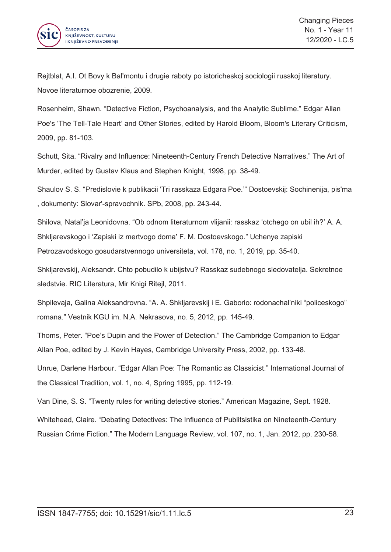

Rejtblat, A.I. Ot Bovy k Bal'montu i drugie raboty po istoricheskoj sociologii russkoj literatury. Novoe literaturnoe obozrenie, 2009.

Rosenheim, Shawn. "Detective Fiction, Psychoanalysis, and the Analytic Sublime." Edgar Allan Poe's 'The Tell-Tale Heart' and Other Stories, edited by Harold Bloom, Bloom's Literary Criticism, 2009, pp. 81-103.

Schutt, Sita. "Rivalry and Influence: Nineteenth-Century French Detective Narratives." The Art of Murder, edited by Gustav Klaus and Stephen Knight, 1998, pp. 38-49.

Shaulov S. S. "Predislovie k publikacii 'Tri rasskaza Edgara Poe.'" Dostoevskij: Sochinenija, pis'ma , dokumenty: Slovar'-spravochnik. SPb, 2008, pp. 243-44.

Shilova, Natal'ja Leonidovna. "Ob odnom literaturnom vlijanii: rasskaz 'otchego on ubil ih?' A. A. Shkljarevskogo i 'Zapiski iz mertvogo doma' F. M. Dostoevskogo." Uchenye zapiski Petrozavodskogo gosudarstvennogo universiteta, vol. 178, no. 1, 2019, pp. 35-40.

Shkljarevskij, Aleksandr. Chto pobudilo k ubijstvu? Rasskaz sudebnogo sledovatelja. Sekretnoe sledstvie. RIC Literatura, Mir Knigi Ritejl, 2011.

Shpilevaja, Galina Aleksandrovna. "A. A. Shkljarevskij i E. Gaborio: rodonachal'niki "policeskogo" romana." Vestnik KGU im. N.A. Nekrasova, no. 5, 2012, pp. 145-49.

Thoms, Peter. "Poe's Dupin and the Power of Detection." The Cambridge Companion to Edgar Allan Poe, edited by J. Kevin Hayes, Cambridge University Press, 2002, pp. 133-48.

Unrue, Darlene Harbour. "Edgar Allan Poe: The Romantic as Classicist." International Journal of the Classical Tradition, vol. 1, no. 4, Spring 1995, pp. 112-19.

Van Dine, S. S. "Twenty rules for writing detective stories." American Magazine, Sept. 1928.

Whitehead, Claire. "Debating Detectives: The Influence of Publitsistika on Nineteenth-Century Russian Crime Fiction." The Modern Language Review, vol. 107, no. 1, Jan. 2012, pp. 230-58.